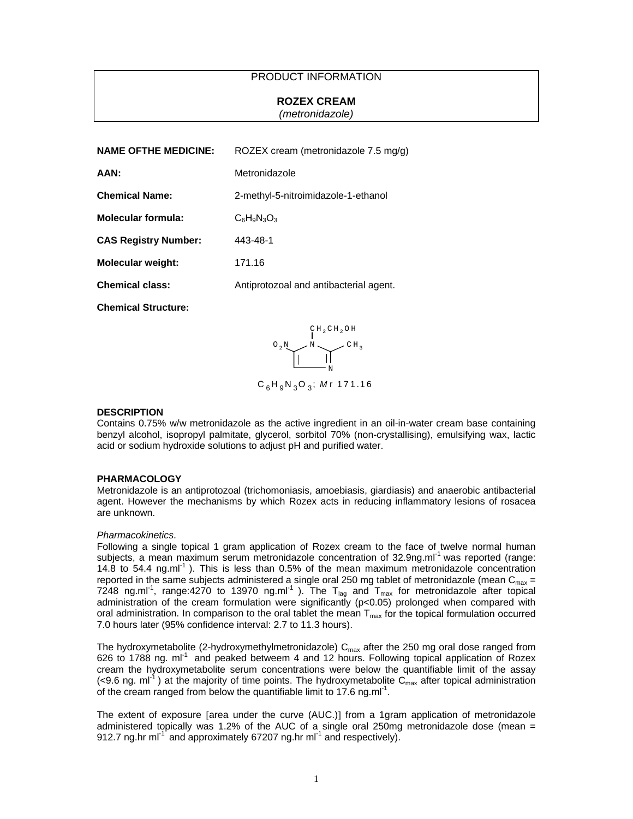# PRODUCT INFORMATION

# **ROZEX CREAM**

*(metronidazole)*

| <b>NAME OFTHE MEDICINE:</b> | ROZEX cream (metronidazole $7.5 \text{ mg/g}$ ) |
|-----------------------------|-------------------------------------------------|
| AAN:                        | Metronidazole                                   |
| <b>Chemical Name:</b>       | 2-methyl-5-nitroimidazole-1-ethanol             |
| Molecular formula:          | $C_6H_9N_3O_3$                                  |
| <b>CAS Registry Number:</b> | 443-48-1                                        |
| <b>Molecular weight:</b>    | 171.16                                          |
| <b>Chemical class:</b>      | Antiprotozoal and antibacterial agent.          |
|                             |                                                 |

**Chemical Structure:** 



## **DESCRIPTION**

Contains 0.75% w/w metronidazole as the active ingredient in an oil-in-water cream base containing benzyl alcohol, isopropyl palmitate, glycerol, sorbitol 70% (non-crystallising), emulsifying wax, lactic acid or sodium hydroxide solutions to adjust pH and purified water.

#### **PHARMACOLOGY**

Metronidazole is an antiprotozoal (trichomoniasis, amoebiasis, giardiasis) and anaerobic antibacterial agent. However the mechanisms by which Rozex acts in reducing inflammatory lesions of rosacea are unknown.

#### *Pharmacokinetics*.

Following a single topical 1 gram application of Rozex cream to the face of twelve normal human subjects, a mean maximum serum metronidazole concentration of 32.9ng.ml<sup>-1</sup> was reported (range: 14.8 to 54.4 ng.ml<sup>-1</sup>). This is less than 0.5% of the mean maximum metronidazole concentration reported in the same subjects administered a single oral 250 mg tablet of metronidazole (mean  $C_{\text{max}} =$ 7248 ng.ml<sup>-1</sup>, range:4270 to 13970 ng.ml<sup>-1</sup>). The T<sub>lag</sub> and T<sub>max</sub> for metronidazole after topical administration of the cream formulation were significantly (p<0.05) prolonged when compared with oral administration. In comparison to the oral tablet the mean  $T_{\text{max}}$  for the topical formulation occurred 7.0 hours later (95% confidence interval: 2.7 to 11.3 hours).

The hydroxymetabolite (2-hydroxymethylmetronidazole)  $C_{\text{max}}$  after the 250 mg oral dose ranged from 626 to 1788 ng.  $ml^{-1}$  and peaked betweem 4 and 12 hours. Following topical application of Rozex cream the hydroxymetabolite serum concentrations were below the quantifiable limit of the assay (<9.6 ng. ml<sup>-1</sup>) at the majority of time points. The hydroxymetabolite C<sub>max</sub> after topical administration of the cream ranged from below the quantifiable limit to 17.6 ng.ml<sup>-1</sup>.

The extent of exposure [area under the curve (AUC.)] from a 1gram application of metronidazole administered topically was 1.2% of the AUC of a single oral 250mg metronidazole dose (mean  $=$ enaminately and provided the control of the large-time company 912.7 ng.hr ml<sup>-1</sup> and approximately 67207 ng.hr ml<sup>-1</sup> and respectively).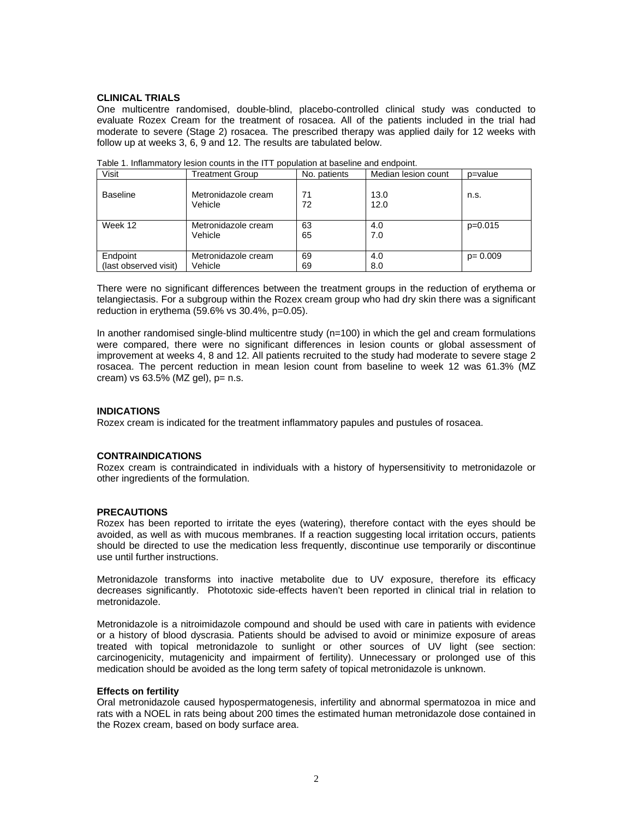## **CLINICAL TRIALS**

One multicentre randomised, double-blind, placebo-controlled clinical study was conducted to evaluate Rozex Cream for the treatment of rosacea. All of the patients included in the trial had moderate to severe (Stage 2) rosacea. The prescribed therapy was applied daily for 12 weeks with follow up at weeks 3, 6, 9 and 12. The results are tabulated below.

| Visit                 | Treatment Group                | No. patients | Median lesion count | p=value     |
|-----------------------|--------------------------------|--------------|---------------------|-------------|
| <b>Baseline</b>       | Metronidazole cream<br>Vehicle | 71<br>72     | 13.0<br>12.0        | n.s.        |
| Week 12               | Metronidazole cream            | 63           | 4.0                 | $p=0.015$   |
|                       | Vehicle                        | 65           | 7.0                 |             |
|                       |                                |              |                     |             |
| Endpoint              | Metronidazole cream            | 69           | 4.0                 | $p = 0.009$ |
| (last observed visit) | Vehicle                        | 69           | 8.0                 |             |

Table 1. Inflammatory lesion counts in the ITT population at baseline and endpoint.

There were no significant differences between the treatment groups in the reduction of erythema or telangiectasis. For a subgroup within the Rozex cream group who had dry skin there was a significant reduction in erythema (59.6% vs 30.4%, p=0.05).

In another randomised single-blind multicentre study (n=100) in which the gel and cream formulations were compared, there were no significant differences in lesion counts or global assessment of improvement at weeks 4, 8 and 12. All patients recruited to the study had moderate to severe stage 2 rosacea. The percent reduction in mean lesion count from baseline to week 12 was 61.3% (MZ cream) vs  $63.5\%$  (MZ gel),  $p = n.s$ .

## **INDICATIONS**

Rozex cream is indicated for the treatment inflammatory papules and pustules of rosacea.

## **CONTRAINDICATIONS**

Rozex cream is contraindicated in individuals with a history of hypersensitivity to metronidazole or other ingredients of the formulation.

## **PRECAUTIONS**

Rozex has been reported to irritate the eyes (watering), therefore contact with the eyes should be avoided, as well as with mucous membranes. If a reaction suggesting local irritation occurs, patients should be directed to use the medication less frequently, discontinue use temporarily or discontinue use until further instructions.

Metronidazole transforms into inactive metabolite due to UV exposure, therefore its efficacy decreases significantly. Phototoxic side-effects haven't been reported in clinical trial in relation to metronidazole.

Metronidazole is a nitroimidazole compound and should be used with care in patients with evidence or a history of blood dyscrasia. Patients should be advised to avoid or minimize exposure of areas treated with topical metronidazole to sunlight or other sources of UV light (see section: carcinogenicity, mutagenicity and impairment of fertility). Unnecessary or prolonged use of this medication should be avoided as the long term safety of topical metronidazole is unknown.

## **Effects on fertility**

Oral metronidazole caused hypospermatogenesis, infertility and abnormal spermatozoa in mice and rats with a NOEL in rats being about 200 times the estimated human metronidazole dose contained in the Rozex cream, based on body surface area.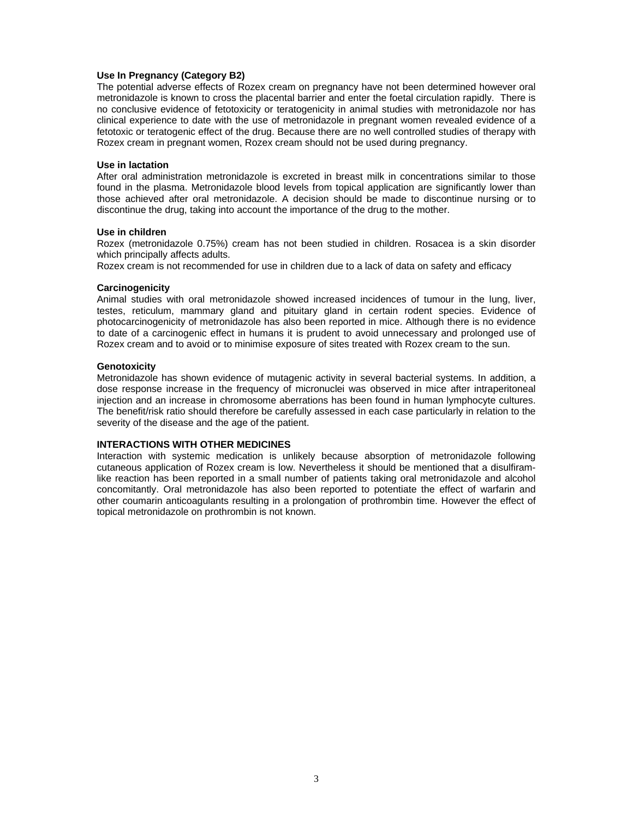## **Use In Pregnancy (Category B2)**

The potential adverse effects of Rozex cream on pregnancy have not been determined however oral metronidazole is known to cross the placental barrier and enter the foetal circulation rapidly. There is no conclusive evidence of fetotoxicity or teratogenicity in animal studies with metronidazole nor has clinical experience to date with the use of metronidazole in pregnant women revealed evidence of a fetotoxic or teratogenic effect of the drug. Because there are no well controlled studies of therapy with Rozex cream in pregnant women, Rozex cream should not be used during pregnancy.

### **Use in lactation**

After oral administration metronidazole is excreted in breast milk in concentrations similar to those found in the plasma. Metronidazole blood levels from topical application are significantly lower than those achieved after oral metronidazole. A decision should be made to discontinue nursing or to discontinue the drug, taking into account the importance of the drug to the mother.

#### **Use in children**

Rozex (metronidazole 0.75%) cream has not been studied in children. Rosacea is a skin disorder which principally affects adults.

Rozex cream is not recommended for use in children due to a lack of data on safety and efficacy

#### **Carcinogenicity**

Animal studies with oral metronidazole showed increased incidences of tumour in the lung, liver, testes, reticulum, mammary gland and pituitary gland in certain rodent species. Evidence of photocarcinogenicity of metronidazole has also been reported in mice. Although there is no evidence to date of a carcinogenic effect in humans it is prudent to avoid unnecessary and prolonged use of Rozex cream and to avoid or to minimise exposure of sites treated with Rozex cream to the sun.

#### **Genotoxicity**

Metronidazole has shown evidence of mutagenic activity in several bacterial systems. In addition, a dose response increase in the frequency of micronuclei was observed in mice after intraperitoneal injection and an increase in chromosome aberrations has been found in human lymphocyte cultures. The benefit/risk ratio should therefore be carefully assessed in each case particularly in relation to the severity of the disease and the age of the patient.

## **INTERACTIONS WITH OTHER MEDICINES**

Interaction with systemic medication is unlikely because absorption of metronidazole following cutaneous application of Rozex cream is low. Nevertheless it should be mentioned that a disulfiramlike reaction has been reported in a small number of patients taking oral metronidazole and alcohol concomitantly. Oral metronidazole has also been reported to potentiate the effect of warfarin and other coumarin anticoagulants resulting in a prolongation of prothrombin time. However the effect of topical metronidazole on prothrombin is not known.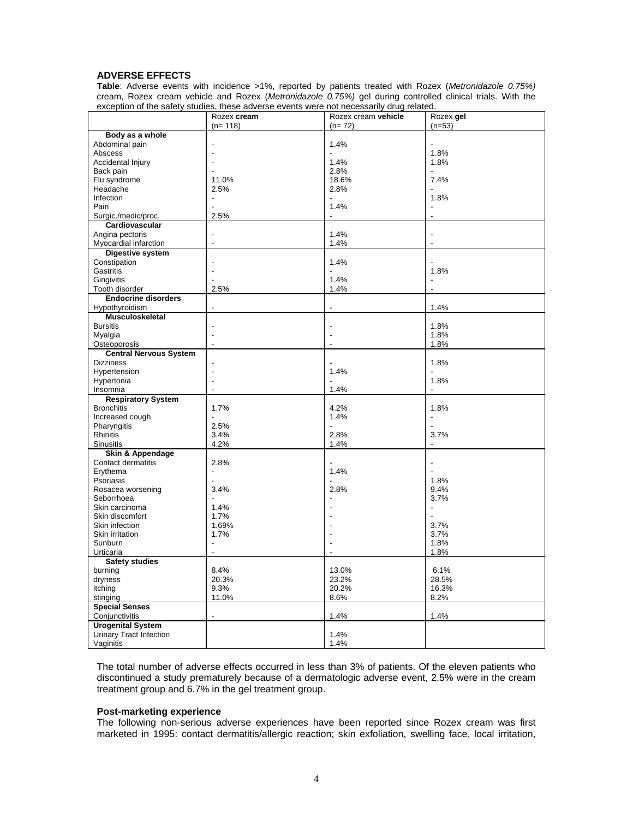# **ADVERSE EFFECTS**

**Table**: Adverse events with incidence >1%, reported by patients treated with Rozex (*Metronidazole 0.75%)*  cream, Rozex cream vehicle and Rozex (*Metronidazole 0.75%)* gel during controlled clinical trials. With the exception of the safety studies, these adverse events were not necessarily drug related.

|                               | Rozex cream              | Rozex cream vehicle | Rozex gel                |
|-------------------------------|--------------------------|---------------------|--------------------------|
|                               | $(n=118)$                | $(n=72)$            | $(n=53)$                 |
| Body as a whole               |                          |                     |                          |
| Abdominal pain                |                          | 1.4%                |                          |
| Abscess                       |                          |                     | 1.8%                     |
| Accidental Injury             |                          | 1.4%                | 1.8%                     |
| Back pain                     |                          | 2.8%                |                          |
| Flu syndrome                  | 11.0%                    | 18.6%               | 7.4%                     |
| Headache                      | 2.5%                     | 2.8%                |                          |
| Infection                     |                          |                     | 1.8%                     |
| Pain                          |                          | 1.4%                |                          |
| Surgic./medic/proc.           | 2.5%                     |                     | l,                       |
| Cardiovascular                |                          |                     |                          |
| Angina pectoris               | Ĭ.                       | 1.4%                | Ĭ.                       |
| Myocardial infarction         | ÷,                       | 1.4%                | Ĭ.                       |
| Digestive system              |                          |                     |                          |
| Constipation                  | $\overline{\phantom{a}}$ | 1.4%                |                          |
| Gastritis                     |                          |                     | 1.8%                     |
| Gingivitis                    |                          | 1.4%                | $\overline{\phantom{a}}$ |
| Tooth disorder                | 2.5%                     | 1.4%                | L.                       |
| <b>Endocrine disorders</b>    |                          |                     |                          |
| Hypothyroidism                | $\overline{a}$           | Ĭ.                  | 1.4%                     |
| Musculoskeletal               |                          |                     |                          |
| <b>Bursitis</b>               |                          |                     | 1.8%                     |
| Myalgia                       | $\overline{\phantom{a}}$ | Ĭ.                  | 1.8%                     |
| Osteoporosis                  | $\blacksquare$           | ÷,                  | 1.8%                     |
| <b>Central Nervous System</b> |                          |                     |                          |
| <b>Dizziness</b>              |                          |                     | 1.8%                     |
| Hypertension                  | $\overline{\phantom{a}}$ | 1.4%                |                          |
| Hypertonia                    |                          |                     | 1.8%                     |
| Insomnia                      | $\overline{\phantom{a}}$ | 1.4%                |                          |
| <b>Respiratory System</b>     |                          |                     |                          |
| <b>Bronchitis</b>             | 1.7%                     | 4.2%                | 1.8%                     |
| Increased cough               | ÷                        | 1.4%                | $\overline{a}$           |
| Pharyngitis                   | 2.5%                     |                     |                          |
| Rhinitis                      | 3.4%                     | 2.8%                | 3.7%                     |
| <b>Sinusitis</b>              | 4.2%                     | 1.4%                |                          |
| Skin & Appendage              |                          |                     |                          |
| Contact dermatitis            | 2.8%                     |                     |                          |
| Erythema                      | ÷,                       | 1.4%                | L.                       |
| Psoriasis                     |                          |                     | 1.8%                     |
| Rosacea worsening             | 3.4%                     | 2.8%                | 9.4%                     |
| Seborrhoea                    |                          |                     | 3.7%                     |
| Skin carcinoma                | 1.4%                     |                     |                          |
| Skin discomfort               | 1.7%                     |                     | L.                       |
| Skin infection                | 1.69%                    |                     | 3.7%                     |
| Skin irritation               | 1.7%                     |                     | 3.7%                     |
| Sunburn                       | ÷                        | L.                  | 1.8%                     |
| Urticaria                     | L.                       | L.                  | 1.8%                     |
| <b>Safety studies</b>         |                          |                     |                          |
| burning                       | 8.4%                     | 13.0%               | 6.1%                     |
| dryness                       | 20.3%                    | 23.2%               | 28.5%                    |
| itching                       | 9.3%                     | 20.2%               | 16.3%                    |
| stinging                      | 11.0%                    | 8.6%                | 8.2%                     |
| <b>Special Senses</b>         |                          |                     |                          |
| Conjunctivitis                |                          | 1.4%                | 1.4%                     |
| <b>Urogenital System</b>      |                          |                     |                          |
| Urinary Tract Infection       |                          | 1.4%                |                          |
| Vaginitis                     |                          | 1.4%                |                          |
|                               |                          |                     |                          |

The total number of adverse effects occurred in less than 3% of patients. Of the eleven patients who discontinued a study prematurely because of a dermatologic adverse event, 2.5% were in the cream treatment group and 6.7% in the gel treatment group.

## **Post-marketing experience**

The following non-serious adverse experiences have been reported since Rozex cream was first marketed in 1995: contact dermatitis/allergic reaction; skin exfoliation, swelling face, local irritation,